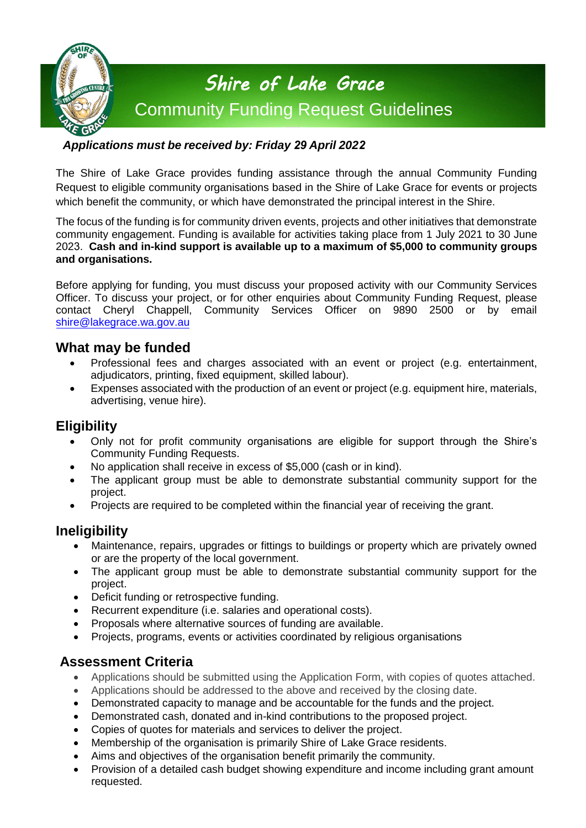

### *Applications must be received by: Friday 29 April 2022*

The Shire of Lake Grace provides funding assistance through the annual Community Funding Request to eligible community organisations based in the Shire of Lake Grace for events or projects which benefit the community, or which have demonstrated the principal interest in the Shire.

The focus of the funding is for community driven events, projects and other initiatives that demonstrate community engagement. Funding is available for activities taking place from 1 July 2021 to 30 June 2023. **Cash and in-kind support is available up to a maximum of \$5,000 to community groups and organisations.** 

Before applying for funding, you must discuss your proposed activity with our Community Services Officer. To discuss your project, or for other enquiries about Community Funding Request, please contact Cheryl Chappell, Community Services Officer on 9890 2500 or by email [shire@lakegrace.wa.gov.](mailto:shire@lakegrace.wa.gov)au

## **What may be funded**

- Professional fees and charges associated with an event or project (e.g. entertainment, adjudicators, printing, fixed equipment, skilled labour).
- Expenses associated with the production of an event or project (e.g. equipment hire, materials, advertising, venue hire).

## **Eligibility**

- Only not for profit community organisations are eligible for support through the Shire's Community Funding Requests.
- No application shall receive in excess of \$5,000 (cash or in kind).
- The applicant group must be able to demonstrate substantial community support for the project.
- Projects are required to be completed within the financial year of receiving the grant.

## **Ineligibility**

- Maintenance, repairs, upgrades or fittings to buildings or property which are privately owned or are the property of the local government.
- The applicant group must be able to demonstrate substantial community support for the project.
- Deficit funding or retrospective funding.
- Recurrent expenditure (i.e. salaries and operational costs).
- Proposals where alternative sources of funding are available.
- Projects, programs, events or activities coordinated by religious organisations

## **Assessment Criteria**

- Applications should be submitted using the Application Form, with copies of quotes attached.
- Applications should be addressed to the above and received by the closing date.
- Demonstrated capacity to manage and be accountable for the funds and the project.
- Demonstrated cash, donated and in-kind contributions to the proposed project.
- Copies of quotes for materials and services to deliver the project.
- Membership of the organisation is primarily Shire of Lake Grace residents.
- Aims and objectives of the organisation benefit primarily the community.
- Provision of a detailed cash budget showing expenditure and income including grant amount requested.